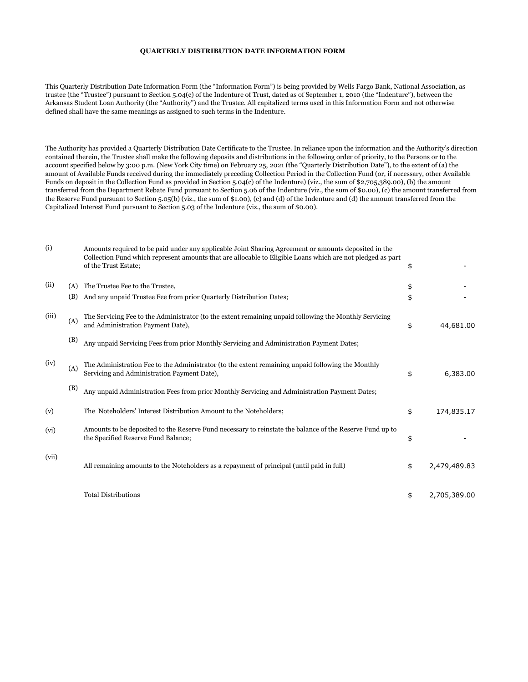## **QUARTERLY DISTRIBUTION DATE INFORMATION FORM**

This Quarterly Distribution Date Information Form (the "Information Form") is being provided by Wells Fargo Bank, National Association, as trustee (the "Trustee") pursuant to Section 5.04(c) of the Indenture of Trust, dated as of September 1, 2010 (the "Indenture"), between the Arkansas Student Loan Authority (the "Authority") and the Trustee. All capitalized terms used in this Information Form and not otherwise defined shall have the same meanings as assigned to such terms in the Indenture.

The Authority has provided a Quarterly Distribution Date Certificate to the Trustee. In reliance upon the information and the Authority's direction contained therein, the Trustee shall make the following deposits and distributions in the following order of priority, to the Persons or to the account specified below by 3:00 p.m. (New York City time) on February 25, 2021 (the "Quarterly Distribution Date"), to the extent of (a) the amount of Available Funds received during the immediately preceding Collection Period in the Collection Fund (or, if necessary, other Available Funds on deposit in the Collection Fund as provided in Section 5.04(c) of the Indenture) (viz., the sum of \$2,705,389.00), (b) the amount transferred from the Department Rebate Fund pursuant to Section 5.06 of the Indenture (viz., the sum of \$0.00), (c) the amount transferred from the Reserve Fund pursuant to Section 5.05(b) (viz., the sum of \$1.00), (c) and (d) of the Indenture and (d) the amount transferred from the Capitalized Interest Fund pursuant to Section 5.03 of the Indenture (viz., the sum of \$0.00).

| (i)   |     | Amounts required to be paid under any applicable Joint Sharing Agreement or amounts deposited in the<br>Collection Fund which represent amounts that are allocable to Eligible Loans which are not pledged as part<br>of the Trust Estate; | \$                 |
|-------|-----|--------------------------------------------------------------------------------------------------------------------------------------------------------------------------------------------------------------------------------------------|--------------------|
| (ii)  | (A) | The Trustee Fee to the Trustee,                                                                                                                                                                                                            | \$                 |
|       | (B) | And any unpaid Trustee Fee from prior Quarterly Distribution Dates;                                                                                                                                                                        | \$                 |
| (iii) | (A) | The Servicing Fee to the Administrator (to the extent remaining unpaid following the Monthly Servicing<br>and Administration Payment Date),                                                                                                | \$<br>44,681.00    |
|       | (B) | Any unpaid Servicing Fees from prior Monthly Servicing and Administration Payment Dates;                                                                                                                                                   |                    |
| (iv)  | (A) | The Administration Fee to the Administrator (to the extent remaining unpaid following the Monthly<br>Servicing and Administration Payment Date),                                                                                           | \$<br>6,383.00     |
|       | (B) | Any unpaid Administration Fees from prior Monthly Servicing and Administration Payment Dates;                                                                                                                                              |                    |
| (v)   |     | The Noteholders' Interest Distribution Amount to the Noteholders;                                                                                                                                                                          | \$<br>174,835.17   |
| (vi)  |     | Amounts to be deposited to the Reserve Fund necessary to reinstate the balance of the Reserve Fund up to<br>the Specified Reserve Fund Balance;                                                                                            | \$                 |
| (vii) |     | All remaining amounts to the Noteholders as a repayment of principal (until paid in full)                                                                                                                                                  | \$<br>2,479,489.83 |
|       |     | <b>Total Distributions</b>                                                                                                                                                                                                                 | \$<br>2,705,389.00 |